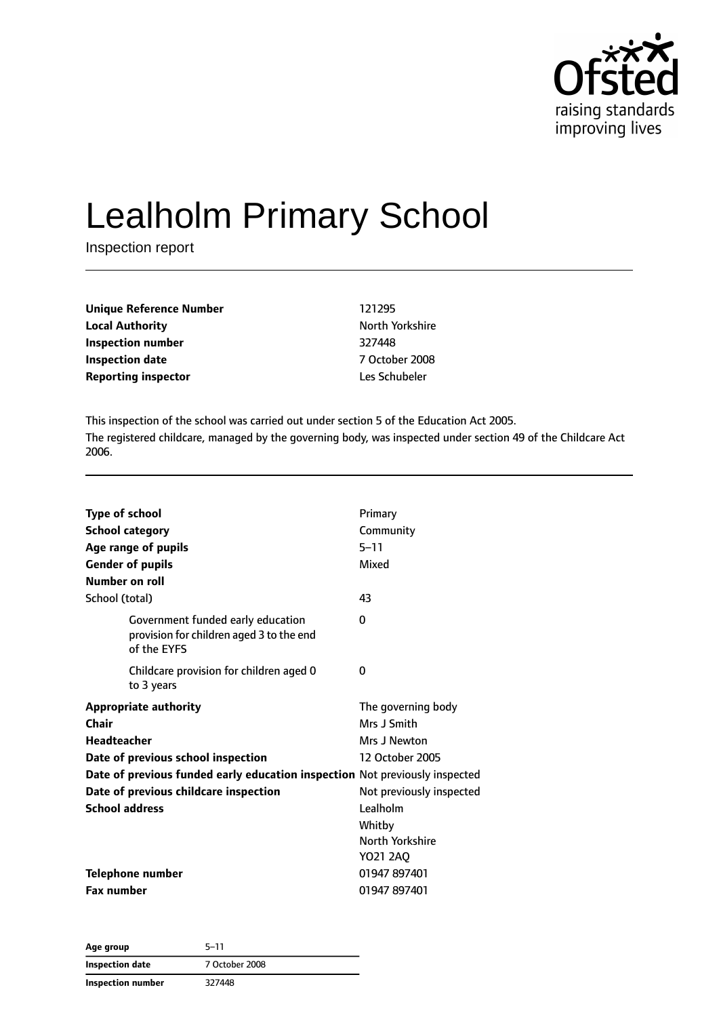

# Lealholm Primary School

Inspection report

| <b>Unique Reference Number</b> | 121295          |
|--------------------------------|-----------------|
| <b>Local Authority</b>         | North Yorkshire |
| Inspection number              | 327448          |
| <b>Inspection date</b>         | 7 October 2008  |
| <b>Reporting inspector</b>     | Les Schubeler   |

This inspection of the school was carried out under section 5 of the Education Act 2005. The registered childcare, managed by the governing body, was inspected under section 49 of the Childcare Act 2006.

| <b>Type of school</b><br><b>School category</b><br>Age range of pupils<br><b>Gender of pupils</b><br>Number on roll | Primary<br>Community<br>$5 - 11$<br>Mixed |
|---------------------------------------------------------------------------------------------------------------------|-------------------------------------------|
| School (total)                                                                                                      | 43                                        |
| Government funded early education<br>provision for children aged 3 to the end<br>of the EYFS                        | 0                                         |
| Childcare provision for children aged 0<br>to 3 years                                                               | 0                                         |
| <b>Appropriate authority</b>                                                                                        | The governing body                        |
| Chair                                                                                                               | Mrs J Smith                               |
| <b>Headteacher</b>                                                                                                  | Mrs J Newton                              |
| Date of previous school inspection                                                                                  | 12 October 2005                           |
| Date of previous funded early education inspection Not previously inspected                                         |                                           |
| Date of previous childcare inspection                                                                               | Not previously inspected                  |
| <b>School address</b>                                                                                               | Lealholm                                  |
|                                                                                                                     | Whitby                                    |
|                                                                                                                     | North Yorkshire                           |
|                                                                                                                     | Y021 2A0                                  |
| <b>Telephone number</b>                                                                                             | 01947 897401                              |
| <b>Fax number</b>                                                                                                   | 01947 897401                              |

| Age group         | $5 - 11$       |
|-------------------|----------------|
| Inspection date   | 7 October 2008 |
| Inspection number | 327448         |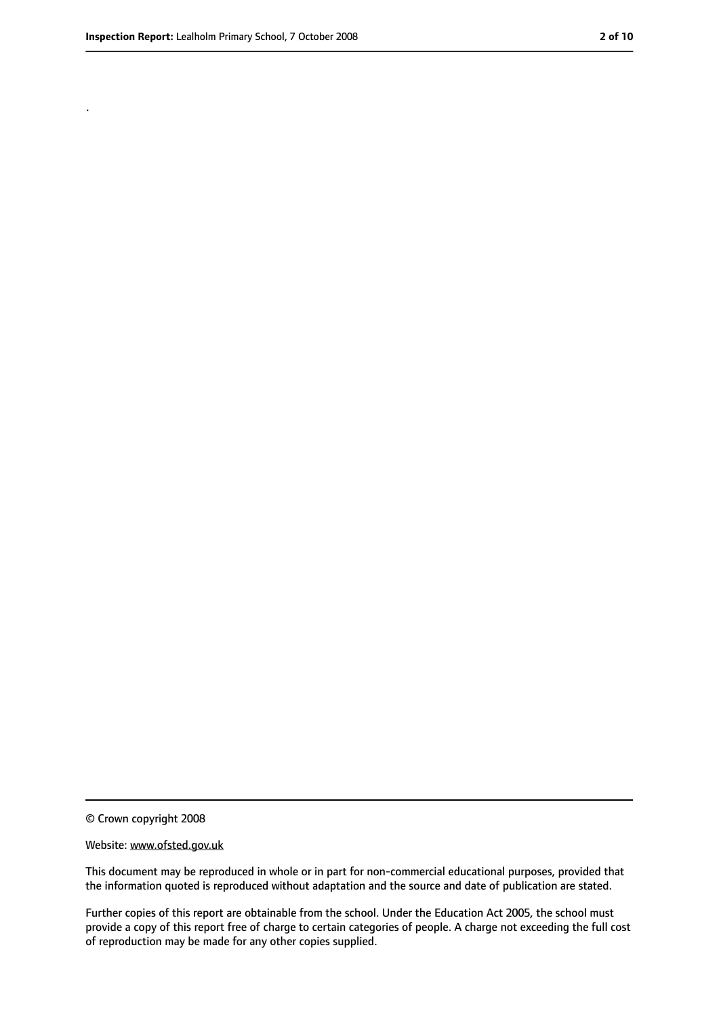.

<sup>©</sup> Crown copyright 2008

Website: www.ofsted.gov.uk

This document may be reproduced in whole or in part for non-commercial educational purposes, provided that the information quoted is reproduced without adaptation and the source and date of publication are stated.

Further copies of this report are obtainable from the school. Under the Education Act 2005, the school must provide a copy of this report free of charge to certain categories of people. A charge not exceeding the full cost of reproduction may be made for any other copies supplied.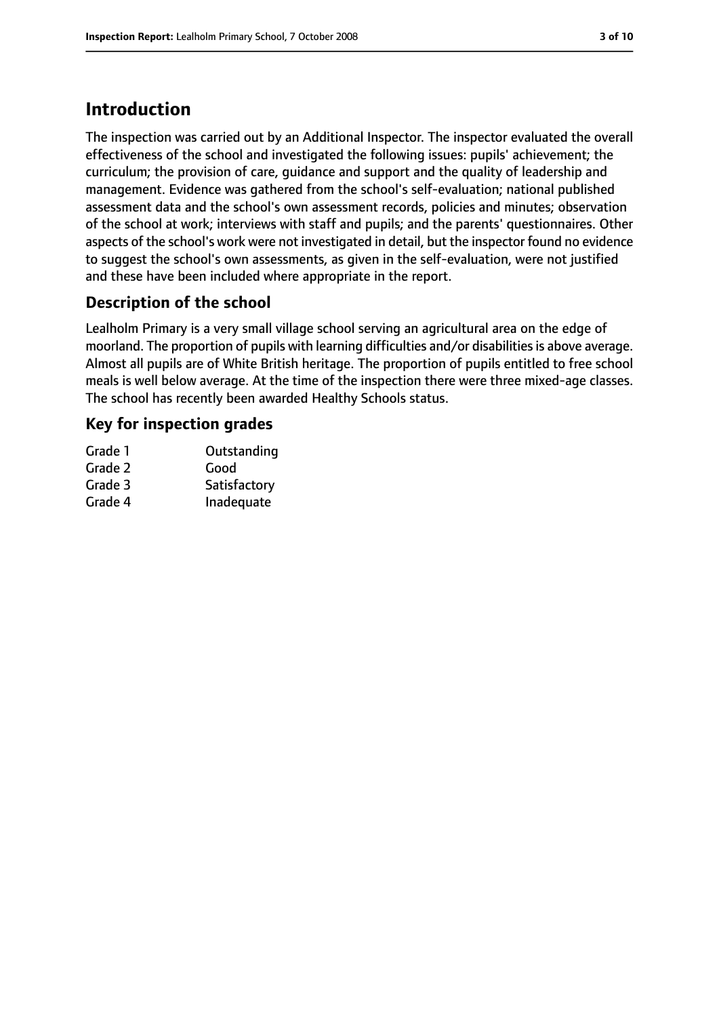# **Introduction**

The inspection was carried out by an Additional Inspector. The inspector evaluated the overall effectiveness of the school and investigated the following issues: pupils' achievement; the curriculum; the provision of care, guidance and support and the quality of leadership and management. Evidence was gathered from the school's self-evaluation; national published assessment data and the school's own assessment records, policies and minutes; observation of the school at work; interviews with staff and pupils; and the parents' questionnaires. Other aspects of the school's work were not investigated in detail, but the inspector found no evidence to suggest the school's own assessments, as given in the self-evaluation, were not justified and these have been included where appropriate in the report.

## **Description of the school**

Lealholm Primary is a very small village school serving an agricultural area on the edge of moorland. The proportion of pupils with learning difficulties and/or disabilities is above average. Almost all pupils are of White British heritage. The proportion of pupils entitled to free school meals is well below average. At the time of the inspection there were three mixed-age classes. The school has recently been awarded Healthy Schools status.

#### **Key for inspection grades**

| Grade 1 | Outstanding  |
|---------|--------------|
| Grade 2 | Good         |
| Grade 3 | Satisfactory |
| Grade 4 | Inadequate   |
|         |              |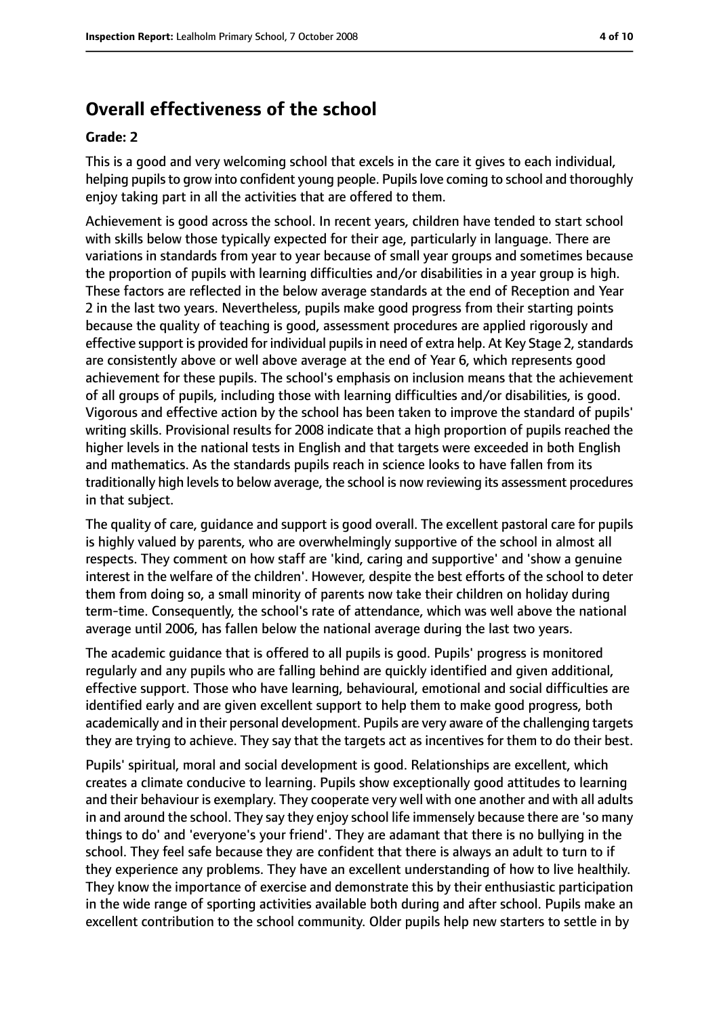## **Overall effectiveness of the school**

#### **Grade: 2**

This is a good and very welcoming school that excels in the care it gives to each individual, helping pupils to grow into confident young people. Pupils love coming to school and thoroughly enjoy taking part in all the activities that are offered to them.

Achievement is good across the school. In recent years, children have tended to start school with skills below those typically expected for their age, particularly in language. There are variations in standards from year to year because of small year groups and sometimes because the proportion of pupils with learning difficulties and/or disabilities in a year group is high. These factors are reflected in the below average standards at the end of Reception and Year 2 in the last two years. Nevertheless, pupils make good progress from their starting points because the quality of teaching is good, assessment procedures are applied rigorously and effective support is provided for individual pupils in need of extra help. At Key Stage 2, standards are consistently above or well above average at the end of Year 6, which represents good achievement for these pupils. The school's emphasis on inclusion means that the achievement of all groups of pupils, including those with learning difficulties and/or disabilities, is good. Vigorous and effective action by the school has been taken to improve the standard of pupils' writing skills. Provisional results for 2008 indicate that a high proportion of pupils reached the higher levels in the national tests in English and that targets were exceeded in both English and mathematics. As the standards pupils reach in science looks to have fallen from its traditionally high levels to below average, the school is now reviewing its assessment procedures in that subject.

The quality of care, guidance and support is good overall. The excellent pastoral care for pupils is highly valued by parents, who are overwhelmingly supportive of the school in almost all respects. They comment on how staff are 'kind, caring and supportive' and 'show a genuine interest in the welfare of the children'. However, despite the best efforts of the school to deter them from doing so, a small minority of parents now take their children on holiday during term-time. Consequently, the school's rate of attendance, which was well above the national average until 2006, has fallen below the national average during the last two years.

The academic guidance that is offered to all pupils is good. Pupils' progress is monitored regularly and any pupils who are falling behind are quickly identified and given additional, effective support. Those who have learning, behavioural, emotional and social difficulties are identified early and are given excellent support to help them to make good progress, both academically and in their personal development. Pupils are very aware of the challenging targets they are trying to achieve. They say that the targets act as incentives for them to do their best.

Pupils' spiritual, moral and social development is good. Relationships are excellent, which creates a climate conducive to learning. Pupils show exceptionally good attitudes to learning and their behaviour is exemplary. They cooperate very well with one another and with all adults in and around the school. They say they enjoy school life immensely because there are 'so many things to do' and 'everyone's your friend'. They are adamant that there is no bullying in the school. They feel safe because they are confident that there is always an adult to turn to if they experience any problems. They have an excellent understanding of how to live healthily. They know the importance of exercise and demonstrate this by their enthusiastic participation in the wide range of sporting activities available both during and after school. Pupils make an excellent contribution to the school community. Older pupils help new starters to settle in by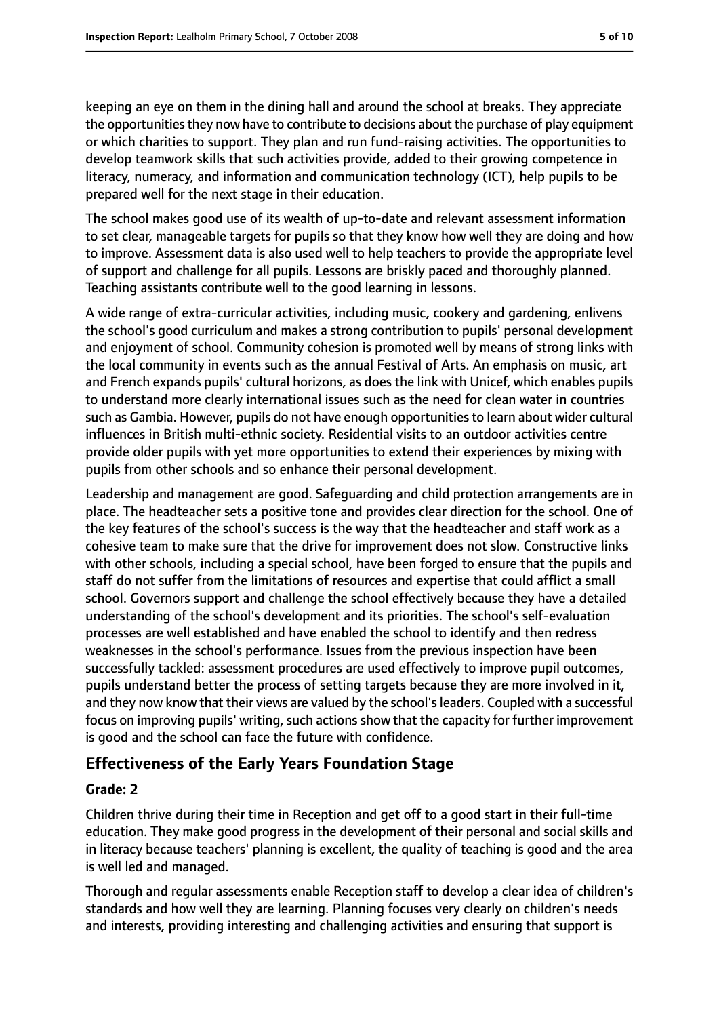keeping an eye on them in the dining hall and around the school at breaks. They appreciate the opportunities they now have to contribute to decisions about the purchase of play equipment or which charities to support. They plan and run fund-raising activities. The opportunities to develop teamwork skills that such activities provide, added to their growing competence in literacy, numeracy, and information and communication technology (ICT), help pupils to be prepared well for the next stage in their education.

The school makes good use of its wealth of up-to-date and relevant assessment information to set clear, manageable targets for pupils so that they know how well they are doing and how to improve. Assessment data is also used well to help teachers to provide the appropriate level of support and challenge for all pupils. Lessons are briskly paced and thoroughly planned. Teaching assistants contribute well to the good learning in lessons.

A wide range of extra-curricular activities, including music, cookery and gardening, enlivens the school's good curriculum and makes a strong contribution to pupils' personal development and enjoyment of school. Community cohesion is promoted well by means of strong links with the local community in events such as the annual Festival of Arts. An emphasis on music, art and French expands pupils' cultural horizons, as does the link with Unicef, which enables pupils to understand more clearly international issues such as the need for clean water in countries such as Gambia. However, pupils do not have enough opportunitiesto learn about wider cultural influences in British multi-ethnic society. Residential visits to an outdoor activities centre provide older pupils with yet more opportunities to extend their experiences by mixing with pupils from other schools and so enhance their personal development.

Leadership and management are good. Safeguarding and child protection arrangements are in place. The headteacher sets a positive tone and provides clear direction for the school. One of the key features of the school's success is the way that the headteacher and staff work as a cohesive team to make sure that the drive for improvement does not slow. Constructive links with other schools, including a special school, have been forged to ensure that the pupils and staff do not suffer from the limitations of resources and expertise that could afflict a small school. Governors support and challenge the school effectively because they have a detailed understanding of the school's development and its priorities. The school's self-evaluation processes are well established and have enabled the school to identify and then redress weaknesses in the school's performance. Issues from the previous inspection have been successfully tackled: assessment procedures are used effectively to improve pupil outcomes, pupils understand better the process of setting targets because they are more involved in it, and they now know that their views are valued by the school'sleaders. Coupled with a successful focus on improving pupils' writing, such actions show that the capacity for further improvement is good and the school can face the future with confidence.

#### **Effectiveness of the Early Years Foundation Stage**

#### **Grade: 2**

Children thrive during their time in Reception and get off to a good start in their full-time education. They make good progress in the development of their personal and social skills and in literacy because teachers' planning is excellent, the quality of teaching is good and the area is well led and managed.

Thorough and regular assessments enable Reception staff to develop a clear idea of children's standards and how well they are learning. Planning focuses very clearly on children's needs and interests, providing interesting and challenging activities and ensuring that support is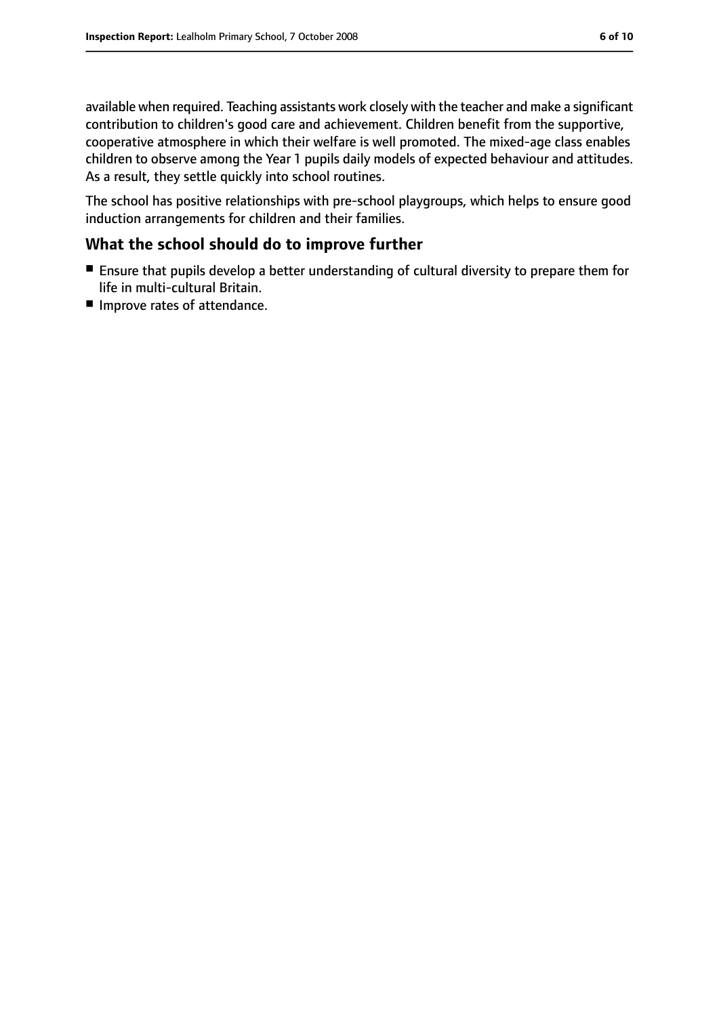available when required. Teaching assistants work closely with the teacher and make a significant contribution to children's good care and achievement. Children benefit from the supportive, cooperative atmosphere in which their welfare is well promoted. The mixed-age class enables children to observe among the Year 1 pupils daily models of expected behaviour and attitudes. As a result, they settle quickly into school routines.

The school has positive relationships with pre-school playgroups, which helps to ensure good induction arrangements for children and their families.

#### **What the school should do to improve further**

- Ensure that pupils develop a better understanding of cultural diversity to prepare them for life in multi-cultural Britain.
- Improve rates of attendance.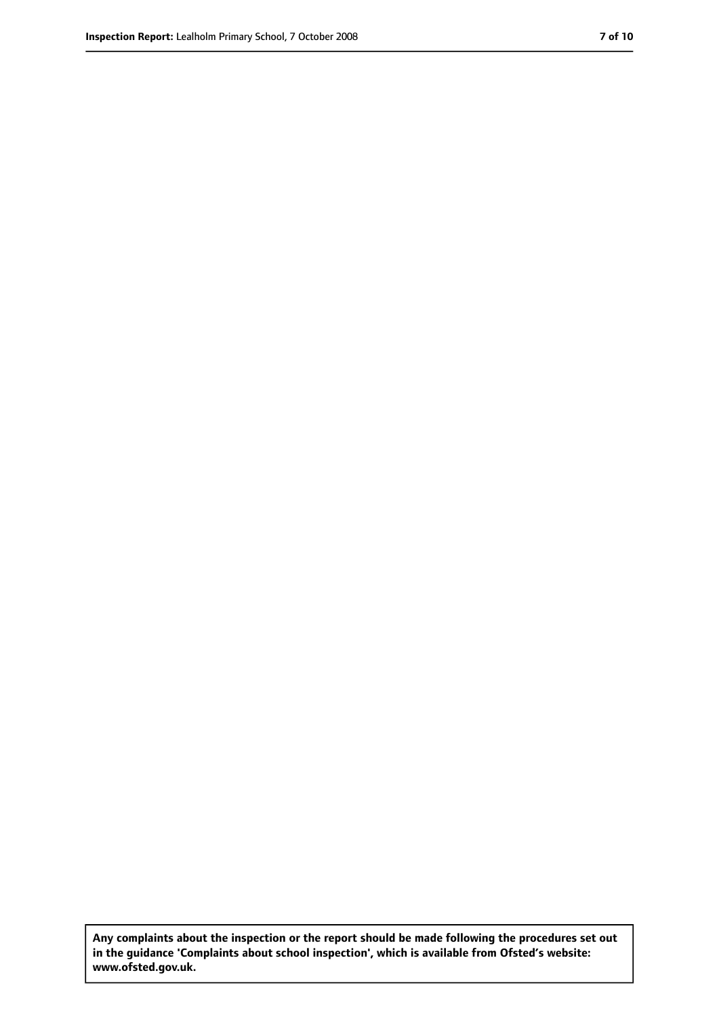**Any complaints about the inspection or the report should be made following the procedures set out in the guidance 'Complaints about school inspection', which is available from Ofsted's website: www.ofsted.gov.uk.**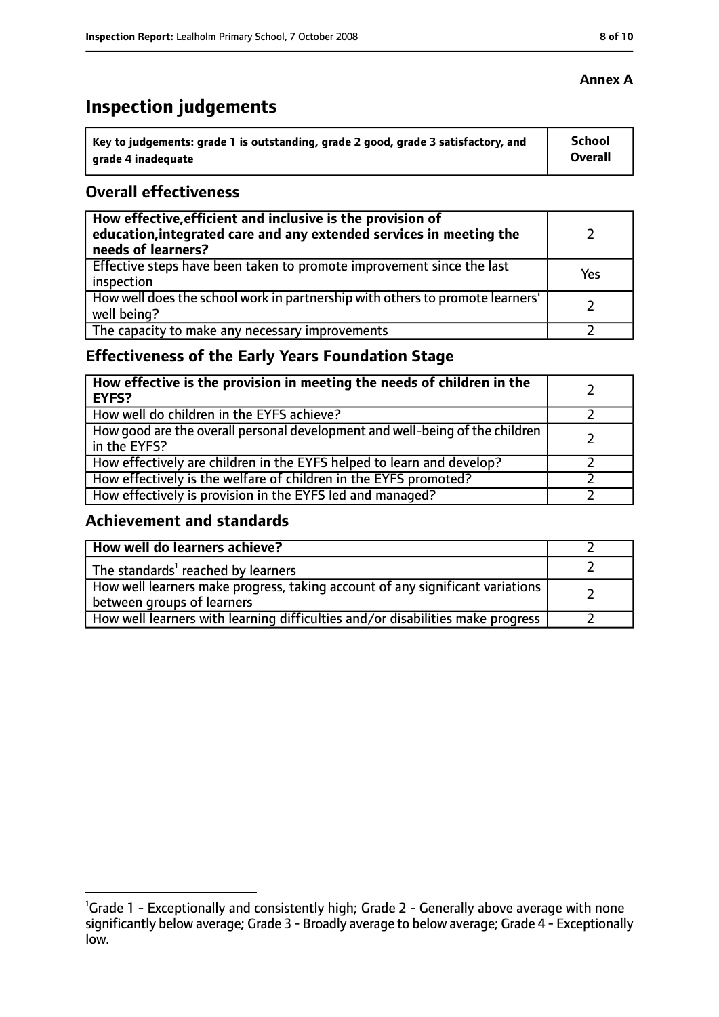# **Inspection judgements**

| \ Key to judgements: grade 1 is outstanding, grade 2 good, grade 3 satisfactory, and | <b>School</b>  |
|--------------------------------------------------------------------------------------|----------------|
| arade 4 inadequate                                                                   | <b>Overall</b> |

#### **Overall effectiveness**

| How effective, efficient and inclusive is the provision of<br>education, integrated care and any extended services in meeting the<br>needs of learners? |     |
|---------------------------------------------------------------------------------------------------------------------------------------------------------|-----|
| Effective steps have been taken to promote improvement since the last<br>inspection                                                                     | Yes |
| How well does the school work in partnership with others to promote learners'<br>well being?                                                            |     |
| The capacity to make any necessary improvements                                                                                                         |     |

## **Effectiveness of the Early Years Foundation Stage**

| How effective is the provision in meeting the needs of children in the<br>l EYFS?            |  |
|----------------------------------------------------------------------------------------------|--|
| How well do children in the EYFS achieve?                                                    |  |
| How good are the overall personal development and well-being of the children<br>in the EYFS? |  |
| How effectively are children in the EYFS helped to learn and develop?                        |  |
| How effectively is the welfare of children in the EYFS promoted?                             |  |
| How effectively is provision in the EYFS led and managed?                                    |  |

#### **Achievement and standards**

| How well do learners achieve?                                                                               |  |
|-------------------------------------------------------------------------------------------------------------|--|
| The standards <sup>1</sup> reached by learners                                                              |  |
| How well learners make progress, taking account of any significant variations<br>between groups of learners |  |
| How well learners with learning difficulties and/or disabilities make progress                              |  |

#### **Annex A**

<sup>&</sup>lt;sup>1</sup>Grade 1 - Exceptionally and consistently high; Grade 2 - Generally above average with none significantly below average; Grade 3 - Broadly average to below average; Grade 4 - Exceptionally low.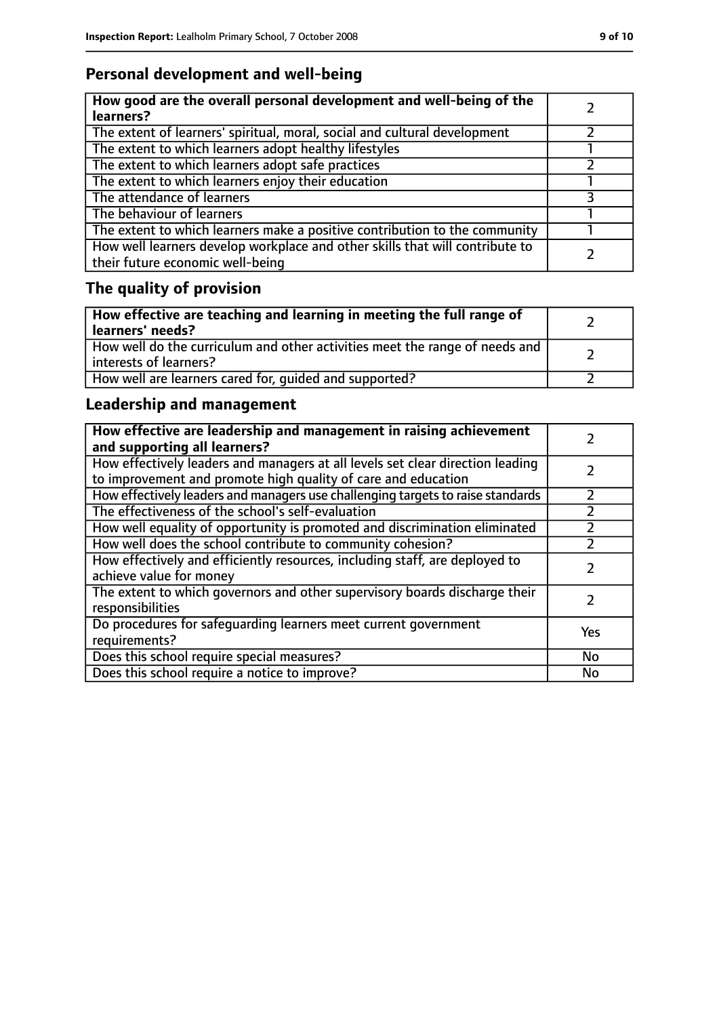## **Personal development and well-being**

| How good are the overall personal development and well-being of the<br>learners?                                 |  |
|------------------------------------------------------------------------------------------------------------------|--|
| The extent of learners' spiritual, moral, social and cultural development                                        |  |
| The extent to which learners adopt healthy lifestyles                                                            |  |
| The extent to which learners adopt safe practices                                                                |  |
| The extent to which learners enjoy their education                                                               |  |
| The attendance of learners                                                                                       |  |
| The behaviour of learners                                                                                        |  |
| The extent to which learners make a positive contribution to the community                                       |  |
| How well learners develop workplace and other skills that will contribute to<br>their future economic well-being |  |

# **The quality of provision**

| How effective are teaching and learning in meeting the full range of<br>learners' needs?              |  |
|-------------------------------------------------------------------------------------------------------|--|
| How well do the curriculum and other activities meet the range of needs and<br>interests of learners? |  |
| How well are learners cared for, quided and supported?                                                |  |

## **Leadership and management**

| How effective are leadership and management in raising achievement<br>and supporting all learners?                                              |     |
|-------------------------------------------------------------------------------------------------------------------------------------------------|-----|
| How effectively leaders and managers at all levels set clear direction leading<br>to improvement and promote high quality of care and education |     |
| How effectively leaders and managers use challenging targets to raise standards                                                                 |     |
| The effectiveness of the school's self-evaluation                                                                                               |     |
| How well equality of opportunity is promoted and discrimination eliminated                                                                      |     |
| How well does the school contribute to community cohesion?                                                                                      |     |
| How effectively and efficiently resources, including staff, are deployed to<br>achieve value for money                                          |     |
| The extent to which governors and other supervisory boards discharge their<br>responsibilities                                                  |     |
| Do procedures for safeguarding learners meet current government<br>requirements?                                                                | Yes |
| Does this school require special measures?                                                                                                      | No  |
| Does this school require a notice to improve?                                                                                                   | No  |